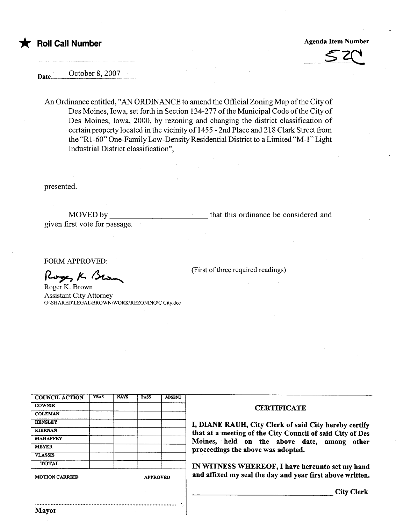## \* Roll Call Number Agenda Item Number Agenda Item Number



Date October 8, 2007

An Ordinance entitled, "AN ORDINANCE to amend the Official Zoning Map ofthe City of Des Moines, Iowa, set forth in Section 134-277 of the Municipal Code of the City of Des Moines, Iowa, 2000, by rezoning and changing the district classification of certain property located in the vicinityof1455 - 2nd Place and 218 Clark Street from the "RI-60" One-Family Low-Density Residential District to a Limited "M-l" Light Industrial District classification",

presented.

MOVED by given first vote for passage. that this ordinance be considered and

(First of three required readings)

FORM APPROVED:

Roger K Bu

Roger K. Brown Assistant City Attorney G:\SHARED\LEGAL\BROWN\ WORK\REZONING\C City.doc

| <b>MOTION CARRIED</b> |             | <b>APPROVED</b> |             |               |  |
|-----------------------|-------------|-----------------|-------------|---------------|--|
| <b>TOTAL</b>          |             |                 |             |               |  |
| <b>VLASSIS</b>        |             |                 |             |               |  |
| <b>MEYER</b>          |             |                 |             |               |  |
| <b>MAHAFFEY</b>       |             |                 |             |               |  |
| <b>KIERNAN</b>        |             |                 |             |               |  |
| <b>HENSLEY</b>        |             |                 |             |               |  |
| <b>COLEMAN</b>        |             |                 |             |               |  |
| <b>COWNIE</b>         |             |                 |             |               |  |
| <b>COUNCIL ACTION</b> | <b>YEAS</b> | <b>NAYS</b>     | <b>PASS</b> | <b>ABSENT</b> |  |

#### CERTIFICATE

I, DIANE RAUH, City Clerk of said City hereby certify that at a meeting of the City Council of said City of Des Moines, held on the above date, among other proceedings the above was adopted.

IN WITNESS WHEREOF, I have hereunto set my hand and affixed my seal the day and year first above written.

City Clerk

..........................................................................................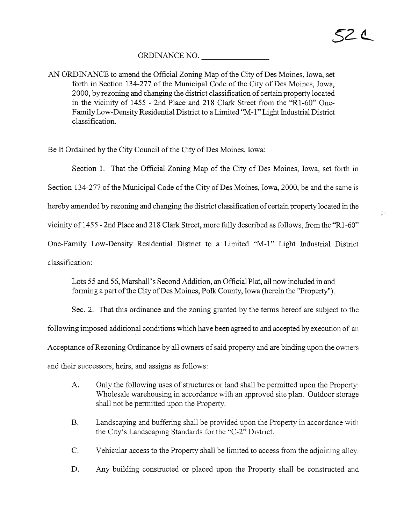$\sim$ 

### ORDINANCE NO.

AN ORDINANCE to amend the Official Zoning Map of the City of Des Moines, Iowa, set forth in Section 134-277 of the Municipal Code of the City of Des Moines, Iowa, 2000, by rezoning and changing the district classification of certain property located in the vicinity of 1455 - 2nd Place and 218 Clark Street from the "RI-60" One-Family Low-Density Residential District to a Limited "M-1" Light Industrial District classification.

Be It Ordained by the City Council of the City of Des Moines, Iowa:

Section 1. That the Official Zoning Map of the City of Des Moines, Iowa, set forth in

Section 134-277 of the Municipal Code of the City of Des Moines, Iowa, 2000, be and the same is

hereby amended by rezoning and changing the district classification of certain property located in the

vicinity of i 455 - 2nd Place and 218 Clark Street, more fully described as follows, from the "RI-60"

One-Family Low-Density Residential District to a Limited "M-1" Light Industrial District

classification:

Lots 55 and 56, Marshall's Second Addition, an Official Plat, all now included in and forming a part of the City of Des Moines, Polk County, Iowa (herein the "Property").

Sec. 2. That this ordinance and the zoning granted by the terms hereof are subject to the following imposed additional conditions which have been agreed to and accepted by execution of an Acceptance of Rezoning Ordinance by all owners of said property and are binding upon the owners and their successors, heirs, and assigns as follows:

- A. Only the following uses of structures or land shall be permtted upon the Property: Wholesale warehousing in accordance with an approved site plan. Outdoor storage shall not be permitted upon the Property.
- B. Landscaping and buffering shall be provided upon the Property in accordance with the City's Landscaping Standards for the "C-2" District.
- C. Vehicular access to the Property shall be limited to access from the adjoining alley.
- D. Any building constructed or placed upon the Property shall be constructed and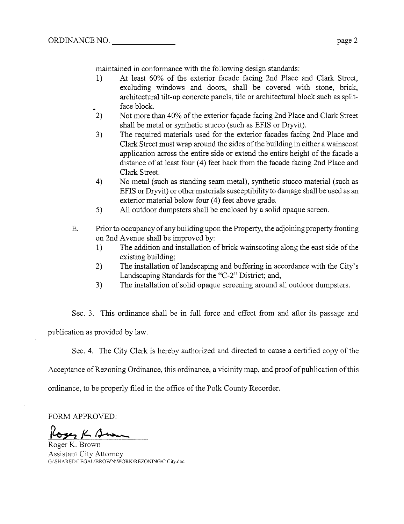maitained in conformance with the following design standards:

- 1) At least 60% of the exterior facade facing 2nd Place and Clark Street, excluding windows and doors, shall be covered with stone, brick, architectual tilt-up concrete panels, tile or architectual block such as splitface block.
- 2) Not more than 40% of the exterior façade facing 2nd Place and Clark Street shall be metal or synthetic stucco (such as EFIS or Dryvit).
- 3) The required materials used for the exterior facades facing 2nd Place and Clark Street must wrap around the sides of the building in either a wainscoat application across the entire side or extend the entire height of the facade a distance of at least four (4) feet back from the facade facing 2nd Place and Clark Street.
- 4) No metal (such as standing seam metal), synthetic stucco material (such as EFIS or Dryit) or other materials susceptibility to damage shall be used as an exterior material below four (4) feet above grade.
- 5) All outdoor dumpsters shall be enclosed by a solid opaque screen.
- E. Prior to occupancy of any building upon the Property, the adjoining property fronting on 2nd Avenue shall be improved by:
	- 1) The addition and installation of brick wainscoting along the east side of the existing building;
	- 2) The installation of landscaping and buffering in accordance with the City's Landscaping Standards for the "C-2" District; and,
	- 3) The installation of solid opaque screening around all outdoor dumpsters.

Sec. 3. This ordinance shall be in full force and effect from and after its passage and publication as provided by law.

Sec. 4. The City Clerk is hereby authorized and directed to cause a certified copy of the

Acceptance of Rezoning Ordinance, this ordinance, a vicinity map, and proof of publication of this

ordinance, to be properly filed in the office of the Polk County Recorder.

FORM APPROVED:

Roses K Beam

Roger K. Brown Assistant City Attorney G:\SHARED\LEGAL\BROWN\ WORK\REZONING\C City. doc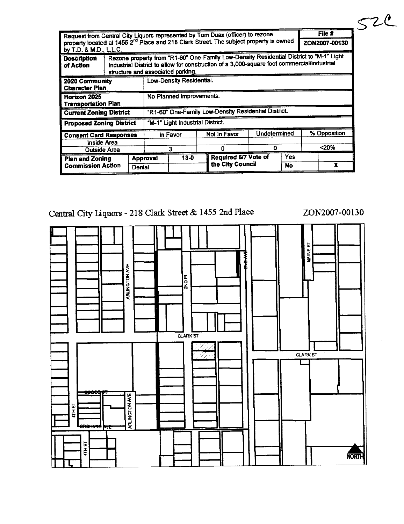| $File$ #                                                                                                                                                                                                                                                      |          |                                                      |          |              |                      |               |     |              |   |
|---------------------------------------------------------------------------------------------------------------------------------------------------------------------------------------------------------------------------------------------------------------|----------|------------------------------------------------------|----------|--------------|----------------------|---------------|-----|--------------|---|
| Request from Central City Liquors represented by Tom Duax (officer) to rezone<br>property located at 1455 2 <sup>nd</sup> Place and 218 Clark Street. The subject property is owned                                                                           |          |                                                      |          |              |                      | ZON2007-00130 |     |              |   |
| by T.D. & M.D., L.L.C.                                                                                                                                                                                                                                        |          |                                                      |          |              |                      |               |     |              |   |
| Rezone property from "R1-60" One-Family Low-Density Residential District to "M-1" Light<br><b>Description</b><br>industrial District to allow for construction of a 3,000-square foot commercial/industrial<br>of Action<br>structure and associated parking. |          |                                                      |          |              |                      |               |     |              |   |
| 2020 Community<br><b>Character Plan</b>                                                                                                                                                                                                                       |          | Low-Density Residential.                             |          |              |                      |               |     |              |   |
| Horizon 2025<br><b>Transportation Plan</b>                                                                                                                                                                                                                    |          | No Planned Improvements.                             |          |              |                      |               |     |              |   |
| <b>Current Zoning District</b>                                                                                                                                                                                                                                |          | "R1-60" One-Family Low-Density Residential District. |          |              |                      |               |     |              |   |
| <b>Proposed Zoning District</b>                                                                                                                                                                                                                               |          | "M-1" Light Industrial District.                     |          |              |                      |               |     |              |   |
| <b>Consent Card Responses</b>                                                                                                                                                                                                                                 |          | In Favor                                             |          | Not in Favor |                      | Undetermined  |     | % Opposition |   |
| Inside Area                                                                                                                                                                                                                                                   |          |                                                      |          |              |                      |               |     |              |   |
| Outside Area                                                                                                                                                                                                                                                  |          | 3                                                    |          | n            |                      | O             |     | <20%         |   |
| <b>Plan and Zoning</b>                                                                                                                                                                                                                                        | Approval |                                                      | $13 - 0$ |              | Required 6/7 Vote of |               | Yes |              |   |
| <b>Commission Action</b>                                                                                                                                                                                                                                      | Denial   |                                                      |          |              | the City Council     |               | No  |              | χ |

# Central City Liquors - 218 Clark Street & 1455 2nd Place ZON2007-00130

 $52c$ 

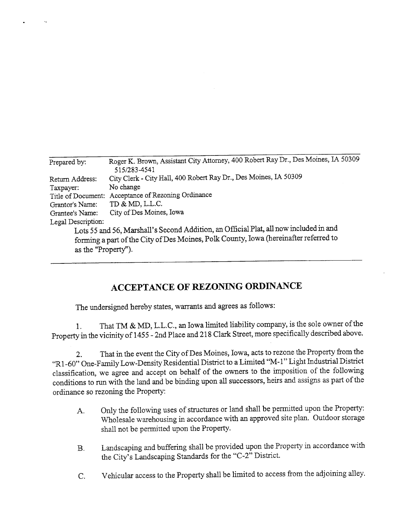| Prepared by:        | Roger K. Brown, Assistant City Attorney, 400 Robert Ray Dr., Des Moines, IA 50309     |
|---------------------|---------------------------------------------------------------------------------------|
|                     | 515/283-4541                                                                          |
| Return Address:     | City Clerk - City Hall, 400 Robert Ray Dr., Des Moines, IA 50309                      |
| Taxpayer:           | No change                                                                             |
|                     | Title of Document: Acceptance of Rezoning Ordinance                                   |
| Grantor's Name:     | TD & MD, L.L.C.                                                                       |
| Grantee's Name:     | City of Des Moines, Iowa                                                              |
| Legal Description:  |                                                                                       |
|                     | Lots 55 and 56, Marshall's Second Addition, an Official Plat, all now included in and |
|                     | forming a part of the City of Des Moines, Polk County, Iowa (hereinafter referred to  |
| as the "Property"). |                                                                                       |

## ACCEPTANCE OF REZONING ORDINANCE

The undersigned hereby states, warants and agrees as follows:

 $1.$  That TM  $\alpha$  MD, L.L.C., an Iowa limited in That TM  $\&$  MD, L.L.C., an Iowa limited liability company, is the sole owner of the Property in the vicinity of 1455 - 2nd Place and 218 Clark Street, more specifically described above.

2. That in the event the City of Des Moines, Iowa, acts to rezone the Property from the "R1-60" One-Family Low-Density Residential District to a Limited "M-1" Light Industrial District classification, we agree and accept on behalf of the owners to the imposition of the following conditions to run with the land and be binding upon all successors, heirs and assigns as part of the ordinance so rezoning the Property:

- A. Only the following uses of structures or land shall be permitted upon the Property: Wholesale warehousing in accordance with an approved site plan. Outdoor storage shall not be permitted upon the Property.
- B. Landscaping and buffering shall be provided upon the Property in accordance with the City's Landscaping Standards for the "C-2" District.
- C. Vehicular access to the Property shall be limited to access from the adjoining alley.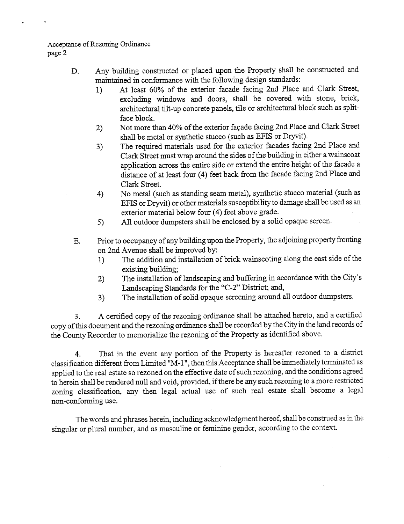### Acceptance of Rezonig Ordiance page 2

- D. Any building constructed or placed upon the Property shall be constructed and maintained in conformance with the following design standards:
	- 1) At least 60% of the exterior facade facing 2nd Place and Clark Street, excludig widows and doors, shall be covered with stone, brick, architectual tilt-up concrete panels, tile or architectual block such as splitface block.
	- 2) Not more than 40% of the exterior façade facing 2nd Place and Clark Street shall be metal or synthetic stucco (such as EFIS or Dryvit).
	- 3) The required materials used for the exterior facades facing 2nd Place and Clark Street must wrap around the sides of the building in either a wainscoat application across the entie side or extend the entie height of the facade a distance of at least four (4) feet back from the facade facing 2nd Place and Clark Street.
	- 4) No metal (such as standing seam metal), synthetic stucco material (such as EFTS or Dryit) or other materials susceptibility to damage shall be used as an exterior material below four (4) feet above grade.
	- 5) All outdoor dumpsters shall be enclosed by a solid opaque screen.
- E. Prior to occupancy of any building upon the Property, the adjoining property fronting on 2nd Avenue shall be improved by:
	- 1) The addition and intallation of brick waiscoting along the east side of the existing building;
	- 2) The installation of landscaping and buffering in accordance with the City's Landscaping Standards for the "C-2" District; and,
	- 3) The installation of solid opaque screenig around all outdoor dumpsters.

3. A certified copy of the rezonig ordiance shall be attached hereto, and a certified copy of ths document and the rezonig ordinance shall be recorded by the City in the land records of the County Recorder to memorialize the rezoning of the Property as identified above.

4. That in the event any portion of the Property is hereafter rezoned to a district classification different from Limited "M-1", then this Acceptance shall be immediately terminated as applied to the real estate so rezoned on the effective date of such rezonig, and the conditions agreed to herein shall be rendered null and void, provided, if there be any such rezoning to a more restricted zoning classification, any then legal actual use of such real estate shall become a legal non-conforming use.

The words and phrases herein, including acknowledgment hereof, shall be construed as in the singular or plural number, and as masculine or feminie gender, according to the context.